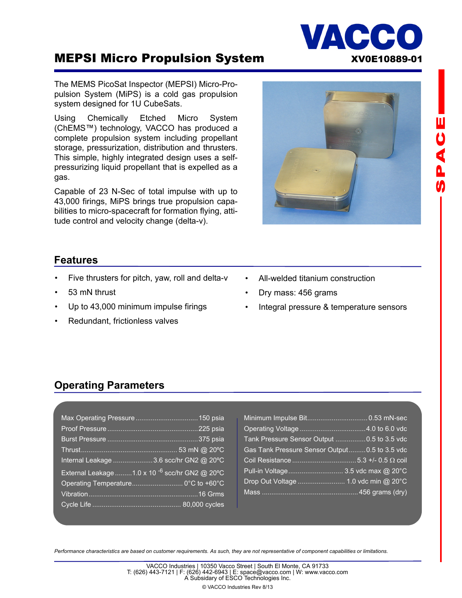## **MEPSI Micro Propulsion System MEPSI Micro Propulsion System MEPSI XV0E10889-01**

The MEMS PicoSat Inspector (MEPSI) Micro-Propulsion System (MiPS) is a cold gas propulsion system designed for 1U CubeSats.

Using Chemically Etched Micro System (ChEMS™) technology, VACCO has produced a complete propulsion system including propellant storage, pressurization, distribution and thrusters. This simple, highly integrated design uses a selfpressurizing liquid propellant that is expelled as a gas.

Capable of 23 N-Sec of total impulse with up to 43,000 firings, MiPS brings true propulsion capabilities to micro-spacecraft for formation flying, attitude control and velocity change (delta-v).

- Dry mass: 456 grams
- Integral pressure & temperature sensors

# **Features**

- Five thrusters for pitch, yaw, roll and delta-v
- 53 mN thrust
- Up to 43,000 minimum impulse firings
- Redundant, frictionless valves

### **Operating Parameters**

| Internal Leakage   3.6 scc/hr GN2 @ 20°C                  |  |
|-----------------------------------------------------------|--|
| External Leakage 1.0 x 10 <sup>-6</sup> scc/hr GN2 @ 20°C |  |
| Operating Temperature 0°C to +60°C                        |  |
|                                                           |  |
|                                                           |  |

| Tank Pressure Sensor Output  0.5 to 3.5 vdc    |  |
|------------------------------------------------|--|
| Gas Tank Pressure Sensor Output 0.5 to 3.5 vdc |  |
|                                                |  |
|                                                |  |
|                                                |  |
|                                                |  |

*Performance characteristics are based on customer requirements. As such, they are not representative of component capabilities or limitations.* 

© VACCO Industries Rev 8/13